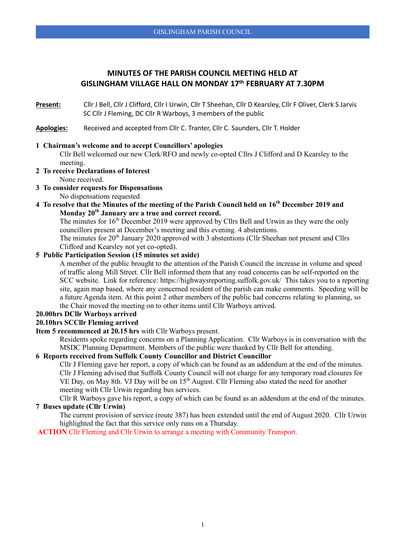# **MINUTES OF THE PARISH COUNCIL MEETING HELD AT GISLINGHAM VILLAGE HALL ON MONDAY 17th FEBRUARY AT 7.30PM**

**Present:** Cllr J Bell, Cllr J Clifford, Cllr I Urwin, Cllr T Sheehan, Cllr D Kearsley, Cllr F Oliver, Clerk S Jarvis SC Cllr J Fleming, DC Cllr R Warboys, 3 members of the public

**Apologies:** Received and accepted from Cllr C. Tranter, Cllr C. Saunders, Cllr T. Holder

#### **1 Chairman's welcome and to accept Councillors' apologies**

Cllr Bell welcomed our new Clerk/RFO and newly co-opted Cllrs J Clifford and D Kearsley to the meeting.

**2 To receive Declarations of Interest**

None received.

**3 To consider requests for Dispensations**

No dispensations requested.

**4 To resolve that the Minutes of the meeting of the Parish Council held on 16th December 2019 and Monday 20th January are a true and correct record.**

The minutes for  $16<sup>th</sup>$  December 2019 were approved by Cllrs Bell and Urwin as they were the only councillors present at December's meeting and this evening. 4 abstentions.

The minutes for 20<sup>th</sup> January 2020 approved with 3 abstentions (Cllr Sheehan not present and Cllrs Clifford and Kearsley not yet co-opted).

### **5 Public Participation Session (15 minutes set aside)**

A member of the public brought to the attention of the Parish Council the increase in volume and speed of traffic along Mill Street. Cllr Bell informed them that any road concerns can be self-reported on the SCC website. Link for reference: <https://highwaysreporting.suffolk.gov.uk/> This takes you to a reporting site, again map based, where any concerned resident of the parish can make comments. Speeding will be a future Agenda item. At this point 2 other members of the public had concerns relating to planning, so the Chair moved the meeting on to other items until Cllr Warboys arrived.

# **20.00hrs DCllr Warboys arrived**

### **20.10hrs SCCllr Fleming arrived**

**Item 5 recommenced at 20.15 hrs** with Cllr Warboys present.

Residents spoke regarding concerns on a Planning Application. Cllr Warboys is in conversation with the MSDC Planning Department. Members of the public were thanked by Cllr Bell for attending.

### **6 Reports received from Suffolk County Councillor and District Councillor**

Cllr J Fleming gave her report, a copy of which can be found as an addendum at the end of the minutes. Cllr J Fleming advised that Suffolk County Council will not charge for any temporary road closures for VE Day, on May 8th. VJ Day will be on 15<sup>th</sup> August. Cllr Fleming also stated the need for another meeting with Cllr Urwin regarding bus services.

Cllr R Warboys gave his report, a copy of which can be found as an addendum at the end of the minutes. **7 Buses update (Cllr Urwin)**

The current provision of service (route 387) has been extended until the end of August 2020. Cllr Urwin highlighted the fact that this service only runs on a Thursday.

**ACTION** Cllr Fleming and Cllr Urwin to arrange a meeting with Community Transport.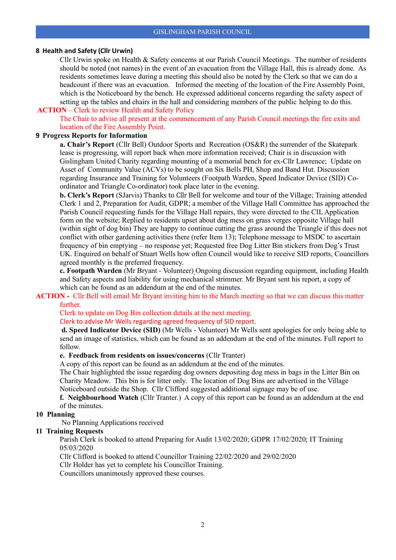#### **8 Health and Safety (Cllr Urwin)**

Cllr Urwin spoke on Health & Safety concerns at our Parish Council Meetings. The number of residents should be noted (not names) in the event of an evacuation from the Village Hall, this is already done. As residents sometimes leave during a meeting this should also be noted by the Clerk so that we can do a headcount if there was an evacuation. Informed the meeting of the location of the Fire Assembly Point, which is the Noticeboard by the bench. He expressed additional concerns regarding the safety aspect of setting up the tables and chairs in the hall and considering members of the public helping to do this.

#### **ACTION** – Clerk to review Health and Safety Policy

The Chair to advise all present at the commencement of any Parish Council meetings the fire exits and location of the Fire Assembly Point.

#### **9 Progress Reports for Information**

**a. Chair's Report** (Cllr Bell) Outdoor Sports and Recreation (OS&R) the surrender of the Skatepark lease is progressing, will report back when more information received; Chair is in discussion with Gislingham United Charity regarding mounting of a memorial bench for ex-Cllr Lawrence; Update on Asset of Community Value (ACVs) to be sought on Six Bells PH, Shop and Band Hut. Discussion regarding Insurance and Training for Volunteers (Footpath Warden, Speed Indicator Device (SID) Coordinator and Triangle Co-ordinator) took place later in the evening.

**b. Clerk's Report** (SJarvis) Thanks to Cllr Bell for welcome and tour of the Village; Training attended Clerk 1 and 2, Preparation for Audit, GDPR; a member of the Village Hall Committee has approached the Parish Council requesting funds for the Village Hall repairs, they were directed to the CIL Application form on the website; Replied to residents upset about dog mess on grass verges opposite Village hall (within sight of dog bin) They are happy to continue cutting the grass around the Triangle if this does not conflict with other gardening activities there (refer Item 13); Telephone message to MSDC to ascertain frequency of bin emptying – no response yet; Requested free Dog Litter Bin stickers from Dog's Trust UK. Enquired on behalf of Stuart Wells how often Council would like to receive SID reports, Councillors agreed monthly is the preferred frequency.

**c. Footpath Warden** (Mr Bryant - Volunteer) Ongoing discussion regarding equipment, including Health and Safety aspects and liability for using mechanical strimmer. Mr Bryant sent his report, a copy of which can be found as an addendum at the end of the minutes.

#### **ACTION -** Cllr Bell will email Mr Bryant inviting him to the March meeting so that we can discuss this matter further.

Clerk to update on Dog Bin collection details at the next meeting.

#### Clerk to advise Mr Wells regarding agreed frequency of SID report.

**d. Speed Indicator Device (SID)** (Mr Wells - Volunteer) Mr Wells sent apologies for only being able to send an image of statistics, which can be found as an addendum at the end of the minutes. Full report to follow.

### **e. Feedback from residents on issues/concerns** (Cllr Tranter)

A copy of this report can be found as an addendum at the end of the minutes.

The Chair highlighted the issue regarding dog owners depositing dog mess in bags in the Litter Bin on Charity Meadow. This bin is for litter only. The location of Dog Bins are advertised in the Village Noticeboard outside the Shop. Cllr Clifford suggested additional signage may be of use.

**f. Neighbourhood Watch** (Cllr Tranter.) A copy of this report can be found as an addendum at the end of the minutes.

#### **10 Planning**

No Planning Applications received

#### **11 Training Requests**

Parish Clerk is booked to attend Preparing for Audit 13/02/2020; GDPR 17/02/2020; IT Training 05/03/2020

Cllr Clifford is booked to attend Councillor Training 22/02/2020 and 29/02/2020

Cllr Holder has yet to complete his Councillor Training.

Councillors unanimously approved these courses.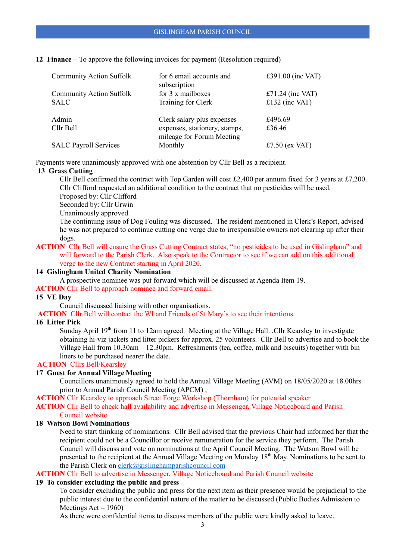**12 Finance –** To approve the following invoices for payment (Resolution required)

| <b>Community Action Suffolk</b> | for 6 email accounts and<br>subscription                   | £391.00 (inc VAT) |
|---------------------------------|------------------------------------------------------------|-------------------|
| <b>Community Action Suffolk</b> | for 3 x mailboxes                                          | £71.24 (inc VAT)  |
| <b>SALC</b>                     | Training for Clerk                                         | £132 (inc VAT)    |
| Admin                           | Clerk salary plus expenses                                 | £496.69           |
| Cllr Bell                       | expenses, stationery, stamps,<br>mileage for Forum Meeting | £36.46            |
| <b>SALC Payroll Services</b>    | Monthly                                                    | £7.50 (ex VAT)    |

Payments were unanimously approved with one abstention by Cllr Bell as a recipient.

### **13 Grass Cutting**

Cllr Bell confirmed the contract with Top Garden will cost £2,400 per annum fixed for 3 years at £7,200. Cllr Clifford requested an additional condition to the contract that no pesticides will be used.

- Proposed by: Cllr Clifford
- Seconded by: Cllr Urwin
- Unanimously approved.

The continuing issue of Dog Fouling was discussed. The resident mentioned in Clerk's Report, advised he was not prepared to continue cutting one verge due to irresponsible owners not clearing up after their dogs.

#### **ACTION** Cllr Bell will ensure the Grass Cutting Contract states, "no pesticides to be used in Gislingham" and will forward to the Parish Clerk. Also speak to the Contractor to see if we can add on this additional verge to the new Contract starting in April 2020.

#### **14 Gislingham United Charity Nomination**

A prospective nominee was put forward which will be discussed at Agenda Item 19.

**ACTION** Cllr Bell to approach nominee and forward email.

#### **15 VE Day**

Council discussed liaising with other organisations.

**ACTION** Cllr Bell will contact the WI and Friends of St Mary's to see their intentions.

### **16 Litter Pick**

Sunday April 19<sup>th</sup> from 11 to 12am agreed. Meeting at the Village Hall. .Cllr Kearsley to investigate obtaining hi-viz jackets and litter pickers for approx. 25 volunteers. Cllr Bell to advertise and to book the Village Hall from 10.30am – 12.30pm. Refreshments (tea, coffee, milk and biscuits) together with bin liners to be purchased nearer the date.

### **ACTION** Cllrs Bell/Kearsley

#### **17 Guest for Annual Village Meeting**

Councillors unanimously agreed to hold the Annual Village Meeting (AVM) on 18/05/2020 at 18.00hrs prior to Annual Parish Council Meeting (APCM) ,

**ACTION** Cllr Kearsley to approach Street Forge Workshop (Thornham) for potential speaker

**ACTION** Cllr Bell to check hall availability and advertise in Messenger, Village Noticeboard and Parish Council website

#### **18 Watson Bowl Nominations**

Need to start thinking of nominations. Cllr Bell advised that the previous Chair had informed her that the recipient could not be a Councillor or receive remuneration for the service they perform. The Parish Council will discuss and vote on nominations at the April Council Meeting. The Watson Bowl will be presented to the recipient at the Annual Village Meeting on Monday 18<sup>th</sup> May. Nominations to be sent to the Parish Clerk on [clerk@gislinghamparishcouncil.com](mailto:clerk@gislinghamparishcouncil.com)

**ACTION** Cllr Bell to advertise in Messenger, Village Noticeboard and Parish Council website

### **19 To consider excluding the public and press**

To consider excluding the public and press for the next item as their presence would be prejudicial to the public interest due to the confidential nature of the matter to be discussed (Public Bodies Admission to Meetings Act – 1960)

As there were confidential items to discuss members of the public were kindly asked to leave.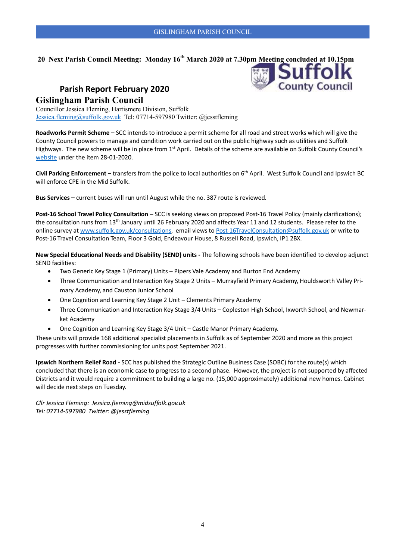**County Council** 

# **20 Next Parish Council Meeting: Monday 16th March 2020 at 7.30pm Meeting concluded at 10.15pm**

# **Parish Report February 2020 Gislingham Parish Council**

Councillor Jessica Fleming, Hartismere Division, Suffolk [Jessica.fleming@suffolk.gov.uk](mailto:Jessica.fleming@suffolk.gov.uk) Tel: 07714-597980 Twitter: @jesstfleming

**Roadworks Permit Scheme –** SCC intends to introduce a permit scheme for all road and street works which will give the County Council powers to manage and condition work carried out on the public highway such as utilities and Suffolk Highways. The new scheme will be in place from 1<sup>st</sup> April. Details of the scheme are available on Suffolk County Council's [website](https://committeeminutes.suffolk.gov.uk/HomePage.aspx) under the item 28-01-2020.

**Civil Parking Enforcement –** transfers from the police to local authorities on 6th April. West Suffolk Council and Ipswich BC will enforce CPE in the Mid Suffolk.

**Bus Services –** current buses will run until August while the no. 387 route is reviewed.

Post-16 School Travel Policy Consultation - SCC is seeking views on proposed Post-16 Travel Policy (mainly clarifications); the consultation runs from 13th January until 26 February 2020 and affects Year 11 and 12 students. Please refer to the online survey a[t www.suffolk.gov.uk/consultations,](http://www.suffolk.gov.uk/consultations) email views to [Post-16TravelConsultation@suffolk.gov.uk](mailto:Post-16TravelConsultation@suffolk.gov.uk) or write to Post-16 Travel Consultation Team, Floor 3 Gold, Endeavour House, 8 Russell Road, Ipswich, IP1 2BX.

**New Special Educational Needs and Disability (SEND) units -** The following schools have been identified to develop adjunct SEND facilities:

- Two Generic Key Stage 1 (Primary) Units Pipers Vale Academy and Burton End Academy
- Three Communication and Interaction Key Stage 2 Units Murrayfield Primary Academy, Houldsworth Valley Primary Academy, and Causton Junior School
- One Cognition and Learning Key Stage 2 Unit Clements Primary Academy
- Three Communication and Interaction Key Stage 3/4 Units Copleston High School, Ixworth School, and Newmarket Academy
- One Cognition and Learning Key Stage 3/4 Unit Castle Manor Primary Academy.

These units will provide 168 additional specialist placements in Suffolk as of September 2020 and more as this project progresses with further commissioning for units post September 2021.

**Ipswich Northern Relief Road -** SCC has published the Strategic Outline Business Case (SOBC) for the route(s) which concluded that there is an economic case to progress to a second phase. However, the project is not supported by affected Districts and it would require a commitment to building a large no. (15,000 approximately) additional new homes. Cabinet will decide next steps on Tuesday.

*Cllr Jessica Fleming: Jessica.fleming@midsuffolk.gov.uk Tel: 07714-597980 Twitter: @jesstfleming*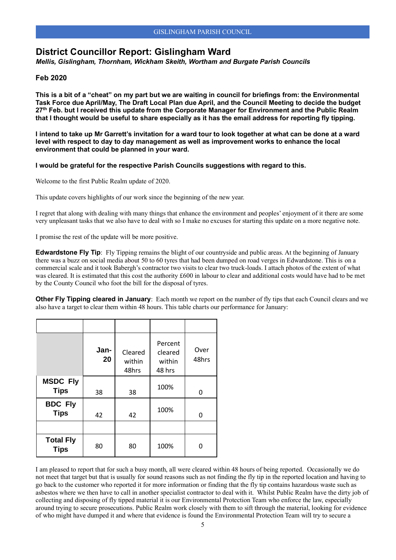# **District Councillor Report: Gislingham Ward**

*Mellis, Gislingham, Thornham, Wickham Skeith, Wortham and Burgate Parish Councils* 

### **Feb 2020**

**This is a bit of a "cheat" on my part but we are waiting in council for briefings from: the Environmental Task Force due April/May, The Draft Local Plan due April, and the Council Meeting to decide the budget 27th Feb. but I received this update from the Corporate Manager for Environment and the Public Realm that I thought would be useful to share especially as it has the email address for reporting fly tipping.** 

**I intend to take up Mr Garrett's invitation for a ward tour to look together at what can be done at a ward level with respect to day to day management as well as improvement works to enhance the local environment that could be planned in your ward.** 

#### **I would be grateful for the respective Parish Councils suggestions with regard to this.**

Welcome to the first Public Realm update of 2020.

This update covers highlights of our work since the beginning of the new year.

I regret that along with dealing with many things that enhance the environment and peoples' enjoyment of it there are some very unpleasant tasks that we also have to deal with so I make no excuses for starting this update on a more negative note.

I promise the rest of the update will be more positive.

**Edwardstone Fly Tip**: Fly Tipping remains the blight of our countryside and public areas. At the beginning of January there was a buzz on social media about 50 to 60 tyres that had been dumped on road verges in Edwardstone. This is on a commercial scale and it took Babergh's contractor two visits to clear two truck-loads. I attach photos of the extent of what was cleared. It is estimated that this cost the authority £600 in labour to clear and additional costs would have had to be met by the County Council who foot the bill for the disposal of tyres.

**Other Fly Tipping cleared in January**: Each month we report on the number of fly tips that each Council clears and we also have a target to clear them within 48 hours. This table charts our performance for January:

|                                 | Jan-<br>20 | Cleared<br>within<br>48hrs | Percent<br>cleared<br>within<br>48 hrs | Over<br>48hrs |
|---------------------------------|------------|----------------------------|----------------------------------------|---------------|
| <b>MSDC Fly</b><br><b>Tips</b>  | 38         | 38                         | 100%                                   | O             |
| <b>BDC Fly</b><br><b>Tips</b>   | 42         | 42                         | 100%                                   | O             |
|                                 |            |                            |                                        |               |
| <b>Total Fly</b><br><b>Tips</b> | 80         | 80                         | 100%                                   | 0             |

I am pleased to report that for such a busy month, all were cleared within 48 hours of being reported. Occasionally we do not meet that target but that is usually for sound reasons such as not finding the fly tip in the reported location and having to go back to the customer who reported it for more information or finding that the fly tip contains hazardous waste such as asbestos where we then have to call in another specialist contractor to deal with it. Whilst Public Realm have the dirty job of collecting and disposing of fly tipped material it is our Environmental Protection Team who enforce the law, especially around trying to secure prosecutions. Public Realm work closely with them to sift through the material, looking for evidence of who might have dumped it and where that evidence is found the Environmental Protection Team will try to secure a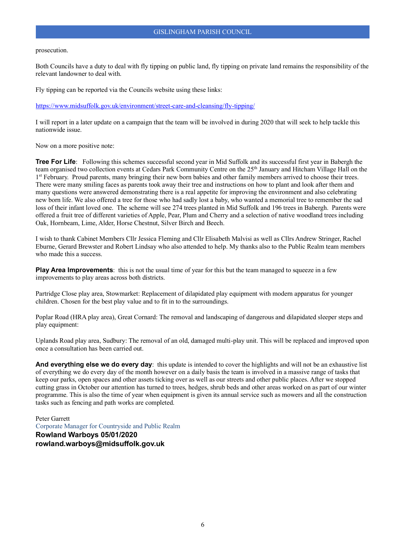#### GISLINGHAM PARISH COUNCIL

#### prosecution.

Both Councils have a duty to deal with fly tipping on public land, fly tipping on private land remains the responsibility of the relevant landowner to deal with.

Fly tipping can be reported via the Councils website using these links:

<https://www.midsuffolk.gov.uk/environment/street-care-and-cleansing/fly-tipping/>

I will report in a later update on a campaign that the team will be involved in during 2020 that will seek to help tackle this nationwide issue.

Now on a more positive note:

**Tree For Life**: Following this schemes successful second year in Mid Suffolk and its successful first year in Babergh the team organised two collection events at Cedars Park Community Centre on the 25<sup>th</sup> January and Hitcham Village Hall on the 1<sup>st</sup> February. Proud parents, many bringing their new born babies and other family members arrived to choose their trees. There were many smiling faces as parents took away their tree and instructions on how to plant and look after them and many questions were answered demonstrating there is a real appetite for improving the environment and also celebrating new born life. We also offered a tree for those who had sadly lost a baby, who wanted a memorial tree to remember the sad loss of their infant loved one. The scheme will see 274 trees planted in Mid Suffolk and 196 trees in Babergh. Parents were offered a fruit tree of different varieties of Apple, Pear, Plum and Cherry and a selection of native woodland trees including Oak, Hornbeam, Lime, Alder, Horse Chestnut, Silver Birch and Beech.

I wish to thank Cabinet Members Cllr Jessica Fleming and Cllr Elisabeth Malvisi as well as Cllrs Andrew Stringer, Rachel Eburne, Gerard Brewster and Robert Lindsay who also attended to help. My thanks also to the Public Realm team members who made this a success.

**Play Area Improvements**: this is not the usual time of year for this but the team managed to squeeze in a few improvements to play areas across both districts.

Partridge Close play area, Stowmarket: Replacement of dilapidated play equipment with modern apparatus for younger children. Chosen for the best play value and to fit in to the surroundings.

Poplar Road (HRA play area), Great Cornard: The removal and landscaping of dangerous and dilapidated sleeper steps and play equipment:

Uplands Road play area, Sudbury: The removal of an old, damaged multi-play unit. This will be replaced and improved upon once a consultation has been carried out.

**And everything else we do every day**: this update is intended to cover the highlights and will not be an exhaustive list of everything we do every day of the month however on a daily basis the team is involved in a massive range of tasks that keep our parks, open spaces and other assets ticking over as well as our streets and other public places. After we stopped cutting grass in October our attention has turned to trees, hedges, shrub beds and other areas worked on as part of our winter programme. This is also the time of year when equipment is given its annual service such as mowers and all the construction tasks such as fencing and path works are completed.

Peter Garrett Corporate Manager for Countryside and Public Realm **Rowland Warboys 05/01/2020 rowland.warboys@midsuffolk.gov.uk**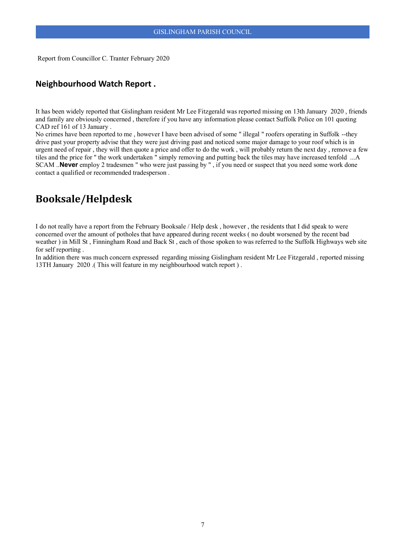Report from Councillor C. Tranter February 2020

# **Neighbourhood Watch Report .**

It has been widely reported that Gislingham resident Mr Lee Fitzgerald was reported missing on 13th January 2020 , friends and family are obviously concerned , therefore if you have any information please contact Suffolk Police on 101 quoting CAD ref 161 of 13 January .

No crimes have been reported to me , however I have been advised of some " illegal " roofers operating in Suffolk --they drive past your property advise that they were just driving past and noticed some major damage to your roof which is in urgent need of repair , they will then quote a price and offer to do the work , will probably return the next day , remove a few tiles and the price for " the work undertaken " simply removing and putting back the tiles may have increased tenfold ...A SCAM ..**Never** employ 2 tradesmen " who were just passing by " , if you need or suspect that you need some work done contact a qualified or recommended tradesperson .

# **Booksale/Helpdesk**

I do not really have a report from the February Booksale / Help desk , however , the residents that I did speak to were concerned over the amount of potholes that have appeared during recent weeks ( no doubt worsened by the recent bad weather ) in Mill St , Finningham Road and Back St , each of those spoken to was referred to the Suffolk Highways web site for self reporting .

In addition there was much concern expressed regarding missing Gislingham resident Mr Lee Fitzgerald , reported missing 13TH January 2020 .( This will feature in my neighbourhood watch report ) .